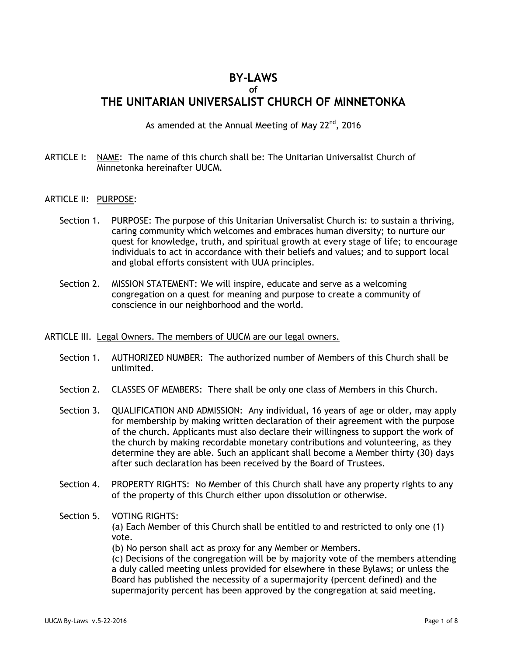# **BY-LAWS**

**of**

# **THE UNITARIAN UNIVERSALIST CHURCH OF MINNETONKA**

As amended at the Annual Meeting of May  $22<sup>nd</sup>$ , 2016

- ARTICLE I: NAME: The name of this church shall be: The Unitarian Universalist Church of Minnetonka hereinafter UUCM.
- ARTICLE II: PURPOSE:
	- Section 1. PURPOSE: The purpose of this Unitarian Universalist Church is: to sustain a thriving, caring community which welcomes and embraces human diversity; to nurture our quest for knowledge, truth, and spiritual growth at every stage of life; to encourage individuals to act in accordance with their beliefs and values; and to support local and global efforts consistent with UUA principles.
	- Section 2. MISSION STATEMENT: We will inspire, educate and serve as a welcoming congregation on a quest for meaning and purpose to create a community of conscience in our neighborhood and the world.

#### ARTICLE III. Legal Owners. The members of UUCM are our legal owners.

- Section 1. AUTHORIZED NUMBER: The authorized number of Members of this Church shall be unlimited.
- Section 2. CLASSES OF MEMBERS: There shall be only one class of Members in this Church.
- Section 3. QUALIFICATION AND ADMISSION: Any individual, 16 years of age or older, may apply for membership by making written declaration of their agreement with the purpose of the church. Applicants must also declare their willingness to support the work of the church by making recordable monetary contributions and volunteering, as they determine they are able. Such an applicant shall become a Member thirty (30) days after such declaration has been received by the Board of Trustees.
- Section 4. PROPERTY RIGHTS: No Member of this Church shall have any property rights to any of the property of this Church either upon dissolution or otherwise.
- Section 5. VOTING RIGHTS: (a) Each Member of this Church shall be entitled to and restricted to only one (1) vote. (b) No person shall act as proxy for any Member or Members. (c) Decisions of the congregation will be by majority vote of the members attending a duly called meeting unless provided for elsewhere in these Bylaws; or unless the Board has published the necessity of a supermajority (percent defined) and the supermajority percent has been approved by the congregation at said meeting.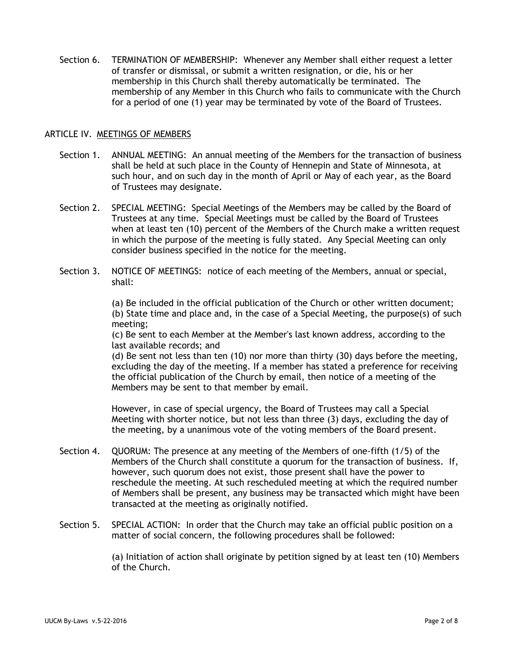Section 6. TERMINATION OF MEMBERSHIP: Whenever any Member shall either request a letter of transfer or dismissal, or submit a written resignation, or die, his or her membership in this Church shall thereby automatically be terminated. The membership of any Member in this Church who fails to communicate with the Church for a period of one (1) year may be terminated by vote of the Board of Trustees.

#### ARTICLE IV. MEETINGS OF MEMBERS

- Section 1. ANNUAL MEETING: An annual meeting of the Members for the transaction of business shall be held at such place in the County of Hennepin and State of Minnesota, at such hour, and on such day in the month of April or May of each year, as the Board of Trustees may designate.
- Section 2. SPECIAL MEETING: Special Meetings of the Members may be called by the Board of Trustees at any time. Special Meetings must be called by the Board of Trustees when at least ten (10) percent of the Members of the Church make a written request in which the purpose of the meeting is fully stated. Any Special Meeting can only consider business specified in the notice for the meeting.
- Section 3. NOTICE OF MEETINGS: notice of each meeting of the Members, annual or special, shall:

(a) Be included in the official publication of the Church or other written document; (b) State time and place and, in the case of a Special Meeting, the purpose(s) of such meeting;

(c) Be sent to each Member at the Member's last known address, according to the last available records; and

(d) Be sent not less than ten (10) nor more than thirty (30) days before the meeting, excluding the day of the meeting. If a member has stated a preference for receiving the official publication of the Church by email, then notice of a meeting of the Members may be sent to that member by email.

However, in case of special urgency, the Board of Trustees may call a Special Meeting with shorter notice, but not less than three (3) days, excluding the day of the meeting, by a unanimous vote of the voting members of the Board present.

- Section 4. QUORUM: The presence at any meeting of the Members of one-fifth (1/5) of the Members of the Church shall constitute a quorum for the transaction of business. If, however, such quorum does not exist, those present shall have the power to reschedule the meeting. At such rescheduled meeting at which the required number of Members shall be present, any business may be transacted which might have been transacted at the meeting as originally notified.
- Section 5. SPECIAL ACTION: In order that the Church may take an official public position on a matter of social concern, the following procedures shall be followed:

(a) Initiation of action shall originate by petition signed by at least ten (10) Members of the Church.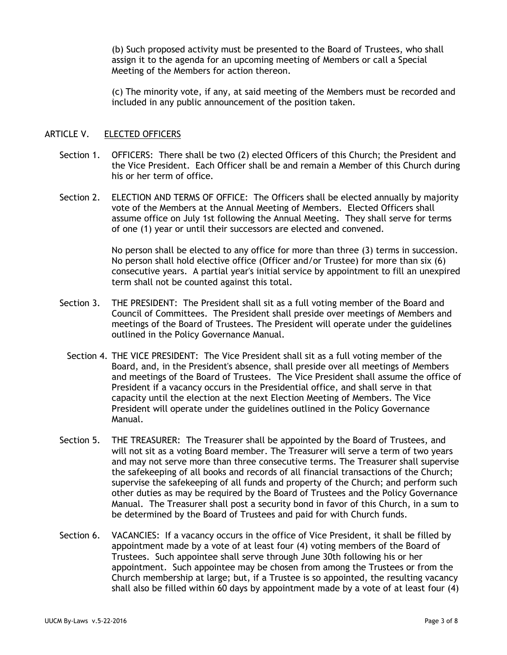(b) Such proposed activity must be presented to the Board of Trustees, who shall assign it to the agenda for an upcoming meeting of Members or call a Special Meeting of the Members for action thereon.

(c) The minority vote, if any, at said meeting of the Members must be recorded and included in any public announcement of the position taken.

# ARTICLE V. ELECTED OFFICERS

- Section 1. OFFICERS: There shall be two (2) elected Officers of this Church; the President and the Vice President. Each Officer shall be and remain a Member of this Church during his or her term of office.
- Section 2. ELECTION AND TERMS OF OFFICE: The Officers shall be elected annually by majority vote of the Members at the Annual Meeting of Members. Elected Officers shall assume office on July 1st following the Annual Meeting. They shall serve for terms of one (1) year or until their successors are elected and convened.

No person shall be elected to any office for more than three (3) terms in succession. No person shall hold elective office (Officer and/or Trustee) for more than six (6) consecutive years. A partial year's initial service by appointment to fill an unexpired term shall not be counted against this total.

- Section 3. THE PRESIDENT: The President shall sit as a full voting member of the Board and Council of Committees. The President shall preside over meetings of Members and meetings of the Board of Trustees. The President will operate under the guidelines outlined in the Policy Governance Manual.
	- Section 4. THE VICE PRESIDENT: The Vice President shall sit as a full voting member of the Board, and, in the President's absence, shall preside over all meetings of Members and meetings of the Board of Trustees. The Vice President shall assume the office of President if a vacancy occurs in the Presidential office, and shall serve in that capacity until the election at the next Election Meeting of Members. The Vice President will operate under the guidelines outlined in the Policy Governance Manual.
- Section 5. THE TREASURER: The Treasurer shall be appointed by the Board of Trustees, and will not sit as a voting Board member. The Treasurer will serve a term of two years and may not serve more than three consecutive terms. The Treasurer shall supervise the safekeeping of all books and records of all financial transactions of the Church; supervise the safekeeping of all funds and property of the Church; and perform such other duties as may be required by the Board of Trustees and the Policy Governance Manual. The Treasurer shall post a security bond in favor of this Church, in a sum to be determined by the Board of Trustees and paid for with Church funds.
- Section 6. VACANCIES: If a vacancy occurs in the office of Vice President, it shall be filled by appointment made by a vote of at least four (4) voting members of the Board of Trustees. Such appointee shall serve through June 30th following his or her appointment. Such appointee may be chosen from among the Trustees or from the Church membership at large; but, if a Trustee is so appointed, the resulting vacancy shall also be filled within 60 days by appointment made by a vote of at least four (4)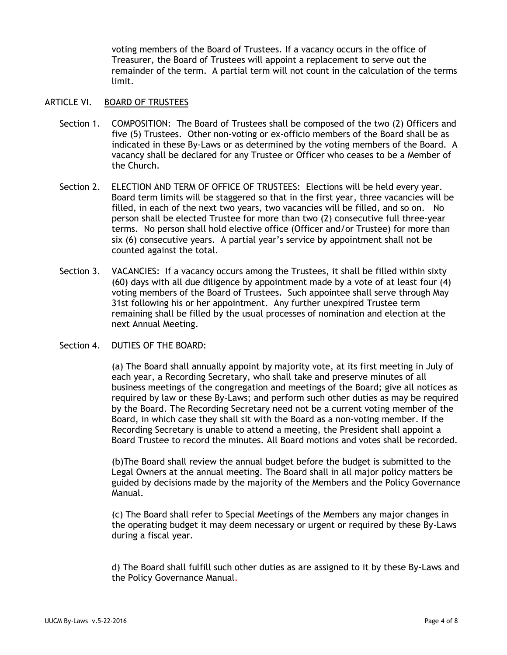voting members of the Board of Trustees. If a vacancy occurs in the office of Treasurer, the Board of Trustees will appoint a replacement to serve out the remainder of the term. A partial term will not count in the calculation of the terms limit.

#### ARTICLE VI. BOARD OF TRUSTEES

- Section 1. COMPOSITION: The Board of Trustees shall be composed of the two (2) Officers and five (5) Trustees. Other non-voting or ex-officio members of the Board shall be as indicated in these By-Laws or as determined by the voting members of the Board. A vacancy shall be declared for any Trustee or Officer who ceases to be a Member of the Church.
- Section 2. ELECTION AND TERM OF OFFICE OF TRUSTEES: Elections will be held every year. Board term limits will be staggered so that in the first year, three vacancies will be filled, in each of the next two years, two vacancies will be filled, and so on. No person shall be elected Trustee for more than two (2) consecutive full three-year terms. No person shall hold elective office (Officer and/or Trustee) for more than six (6) consecutive years. A partial year's service by appointment shall not be counted against the total.
- Section 3. VACANCIES: If a vacancy occurs among the Trustees, it shall be filled within sixty (60) days with all due diligence by appointment made by a vote of at least four (4) voting members of the Board of Trustees. Such appointee shall serve through May 31st following his or her appointment. Any further unexpired Trustee term remaining shall be filled by the usual processes of nomination and election at the next Annual Meeting.
- Section 4. DUTIES OF THE BOARD:

(a) The Board shall annually appoint by majority vote, at its first meeting in July of each year, a Recording Secretary, who shall take and preserve minutes of all business meetings of the congregation and meetings of the Board; give all notices as required by law or these By-Laws; and perform such other duties as may be required by the Board. The Recording Secretary need not be a current voting member of the Board, in which case they shall sit with the Board as a non-voting member. If the Recording Secretary is unable to attend a meeting, the President shall appoint a Board Trustee to record the minutes. All Board motions and votes shall be recorded.

(b)The Board shall review the annual budget before the budget is submitted to the Legal Owners at the annual meeting. The Board shall in all major policy matters be guided by decisions made by the majority of the Members and the Policy Governance Manual.

(c) The Board shall refer to Special Meetings of the Members any major changes in the operating budget it may deem necessary or urgent or required by these By-Laws during a fiscal year.

d) The Board shall fulfill such other duties as are assigned to it by these By-Laws and the Policy Governance Manual.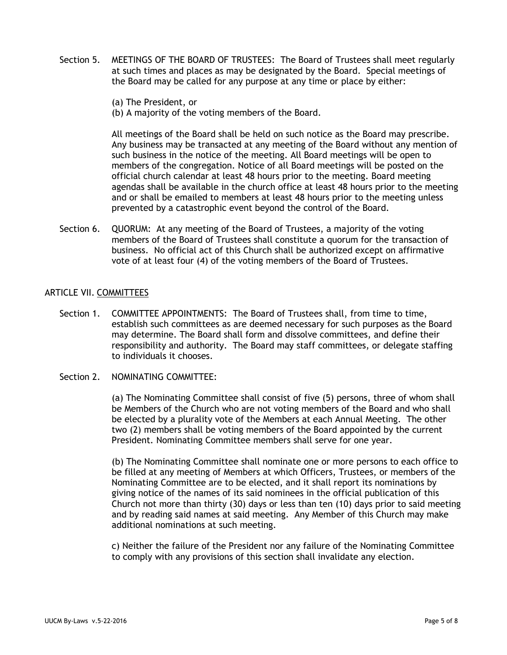- Section 5. MEETINGS OF THE BOARD OF TRUSTEES: The Board of Trustees shall meet regularly at such times and places as may be designated by the Board. Special meetings of the Board may be called for any purpose at any time or place by either:
	- (a) The President, or
	- (b) A majority of the voting members of the Board.

All meetings of the Board shall be held on such notice as the Board may prescribe. Any business may be transacted at any meeting of the Board without any mention of such business in the notice of the meeting. All Board meetings will be open to members of the congregation. Notice of all Board meetings will be posted on the official church calendar at least 48 hours prior to the meeting. Board meeting agendas shall be available in the church office at least 48 hours prior to the meeting and or shall be emailed to members at least 48 hours prior to the meeting unless prevented by a catastrophic event beyond the control of the Board.

Section 6. QUORUM: At any meeting of the Board of Trustees, a majority of the voting members of the Board of Trustees shall constitute a quorum for the transaction of business. No official act of this Church shall be authorized except on affirmative vote of at least four (4) of the voting members of the Board of Trustees.

#### ARTICLE VII. COMMITTEES

Section 1. COMMITTEE APPOINTMENTS: The Board of Trustees shall, from time to time, establish such committees as are deemed necessary for such purposes as the Board may determine. The Board shall form and dissolve committees, and define their responsibility and authority. The Board may staff committees, or delegate staffing to individuals it chooses.

#### Section 2. NOMINATING COMMITTEE:

(a) The Nominating Committee shall consist of five (5) persons, three of whom shall be Members of the Church who are not voting members of the Board and who shall be elected by a plurality vote of the Members at each Annual Meeting. The other two (2) members shall be voting members of the Board appointed by the current President. Nominating Committee members shall serve for one year.

(b) The Nominating Committee shall nominate one or more persons to each office to be filled at any meeting of Members at which Officers, Trustees, or members of the Nominating Committee are to be elected, and it shall report its nominations by giving notice of the names of its said nominees in the official publication of this Church not more than thirty (30) days or less than ten (10) days prior to said meeting and by reading said names at said meeting. Any Member of this Church may make additional nominations at such meeting.

c) Neither the failure of the President nor any failure of the Nominating Committee to comply with any provisions of this section shall invalidate any election.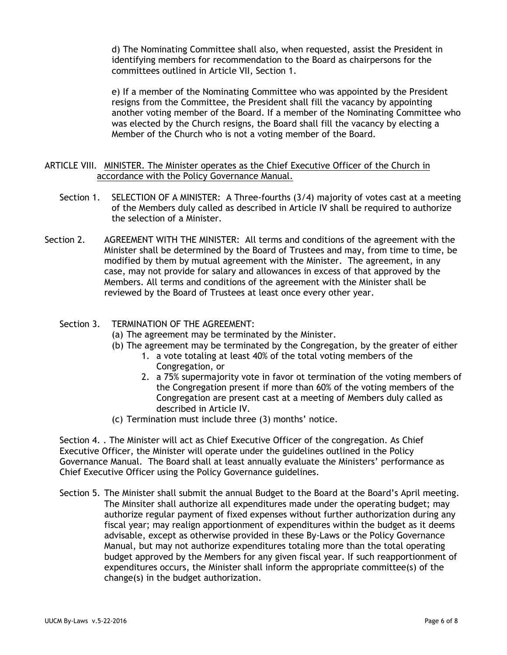d) The Nominating Committee shall also, when requested, assist the President in identifying members for recommendation to the Board as chairpersons for the committees outlined in Article VII, Section 1.

e) If a member of the Nominating Committee who was appointed by the President resigns from the Committee, the President shall fill the vacancy by appointing another voting member of the Board. If a member of the Nominating Committee who was elected by the Church resigns, the Board shall fill the vacancy by electing a Member of the Church who is not a voting member of the Board.

# ARTICLE VIII. MINISTER. The Minister operates as the Chief Executive Officer of the Church in accordance with the Policy Governance Manual.

- Section 1. SELECTION OF A MINISTER: A Three-fourths (3/4) majority of votes cast at a meeting of the Members duly called as described in Article IV shall be required to authorize the selection of a Minister.
- Section 2. AGREEMENT WITH THE MINISTER: All terms and conditions of the agreement with the Minister shall be determined by the Board of Trustees and may, from time to time, be modified by them by mutual agreement with the Minister. The agreement, in any case, may not provide for salary and allowances in excess of that approved by the Members. All terms and conditions of the agreement with the Minister shall be reviewed by the Board of Trustees at least once every other year.

# Section 3. TERMINATION OF THE AGREEMENT:

- (a) The agreement may be terminated by the Minister.
- (b) The agreement may be terminated by the Congregation, by the greater of either
	- 1. a vote totaling at least 40% of the total voting members of the Congregation, or
	- 2. a 75% supermajority vote in favor ot termination of the voting members of the Congregation present if more than 60% of the voting members of the Congregation are present cast at a meeting of Members duly called as described in Article IV.
- (c) Termination must include three (3) months' notice.

Section 4. . The Minister will act as Chief Executive Officer of the congregation. As Chief Executive Officer, the Minister will operate under the guidelines outlined in the Policy Governance Manual. The Board shall at least annually evaluate the Ministers' performance as Chief Executive Officer using the Policy Governance guidelines.

Section 5. The Minister shall submit the annual Budget to the Board at the Board's April meeting. The Minsiter shall authorize all expenditures made under the operating budget; may authorize regular payment of fixed expenses without further authorization during any fiscal year; may realign apportionment of expenditures within the budget as it deems advisable, except as otherwise provided in these By-Laws or the Policy Governance Manual, but may not authorize expenditures totaling more than the total operating budget approved by the Members for any given fiscal year. If such reapportionment of expenditures occurs, the Minister shall inform the appropriate committee(s) of the change(s) in the budget authorization.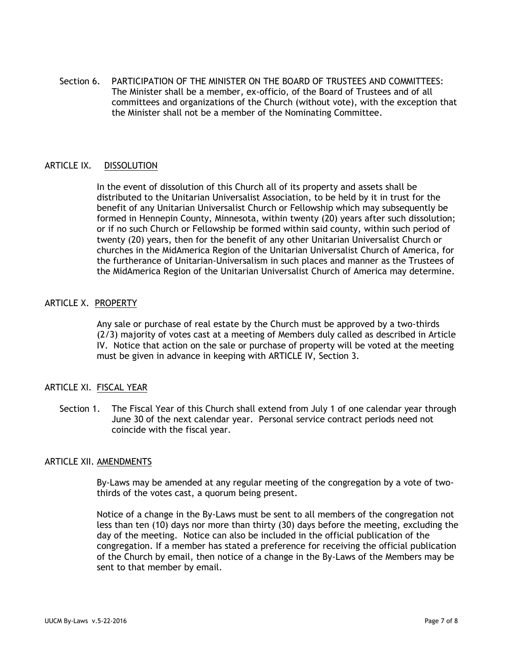Section 6. PARTICIPATION OF THE MINISTER ON THE BOARD OF TRUSTEES AND COMMITTEES: The Minister shall be a member, ex-officio, of the Board of Trustees and of all committees and organizations of the Church (without vote), with the exception that the Minister shall not be a member of the Nominating Committee.

# ARTICLE IX. DISSOLUTION

In the event of dissolution of this Church all of its property and assets shall be distributed to the Unitarian Universalist Association, to be held by it in trust for the benefit of any Unitarian Universalist Church or Fellowship which may subsequently be formed in Hennepin County, Minnesota, within twenty (20) years after such dissolution; or if no such Church or Fellowship be formed within said county, within such period of twenty (20) years, then for the benefit of any other Unitarian Universalist Church or churches in the MidAmerica Region of the Unitarian Universalist Church of America, for the furtherance of Unitarian-Universalism in such places and manner as the Trustees of the MidAmerica Region of the Unitarian Universalist Church of America may determine.

# ARTICLE X. PROPERTY

Any sale or purchase of real estate by the Church must be approved by a two-thirds (2/3) majority of votes cast at a meeting of Members duly called as described in Article IV. Notice that action on the sale or purchase of property will be voted at the meeting must be given in advance in keeping with ARTICLE IV, Section 3.

### ARTICLE XI. FISCAL YEAR

Section 1. The Fiscal Year of this Church shall extend from July 1 of one calendar year through June 30 of the next calendar year. Personal service contract periods need not coincide with the fiscal year.

#### ARTICLE XII. AMENDMENTS

By-Laws may be amended at any regular meeting of the congregation by a vote of twothirds of the votes cast, a quorum being present.

Notice of a change in the By-Laws must be sent to all members of the congregation not less than ten (10) days nor more than thirty (30) days before the meeting, excluding the day of the meeting. Notice can also be included in the official publication of the congregation. If a member has stated a preference for receiving the official publication of the Church by email, then notice of a change in the By-Laws of the Members may be sent to that member by email.